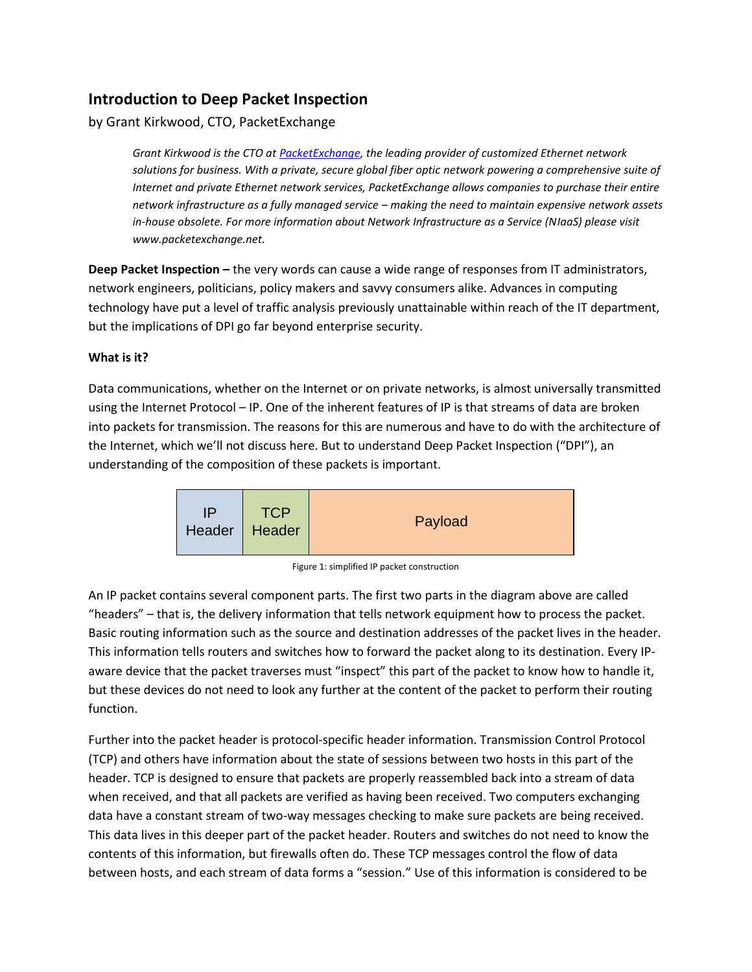## **Introduction to Deep Packet Inspection**

by Grant Kirkwood, CTO, PacketExchange

*Grant Kirkwood is the CTO a[t PacketExchange,](http://www.packetexchange.net/) the leading provider of customized Ethernet network solutions for business. With a private, secure global fiber optic network powering a comprehensive suite of Internet and private Ethernet network services, PacketExchange allows companies to purchase their entire network infrastructure as a fully managed service – making the need to maintain expensive network assets in-house obsolete. For more information about Network Infrastructure as a Service (NIaaS) please visit www.packetexchange.net.*

**Deep Packet Inspection –** the very words can cause a wide range of responses from IT administrators, network engineers, politicians, policy makers and savvy consumers alike. Advances in computing technology have put a level of traffic analysis previously unattainable within reach of the IT department, but the implications of DPI go far beyond enterprise security.

## **What is it?**

Data communications, whether on the Internet or on private networks, is almost universally transmitted using the Internet Protocol – IP. One of the inherent features of IP is that streams of data are broken into packets for transmission. The reasons for this are numerous and have to do with the architecture of the Internet, which we'll not discuss here. But to understand Deep Packet Inspection ("DPI"), an understanding of the composition of these packets is important.



Figure 1: simplified IP packet construction

An IP packet contains several component parts. The first two parts in the diagram above are called "headers" – that is, the delivery information that tells network equipment how to process the packet. Basic routing information such as the source and destination addresses of the packet lives in the header. This information tells routers and switches how to forward the packet along to its destination. Every IPaware device that the packet traverses must "inspect" this part of the packet to know how to handle it, but these devices do not need to look any further at the content of the packet to perform their routing function.

Further into the packet header is protocol-specific header information. Transmission Control Protocol (TCP) and others have information about the state of sessions between two hosts in this part of the header. TCP is designed to ensure that packets are properly reassembled back into a stream of data when received, and that all packets are verified as having been received. Two computers exchanging data have a constant stream of two-way messages checking to make sure packets are being received. This data lives in this deeper part of the packet header. Routers and switches do not need to know the contents of this information, but firewalls often do. These TCP messages control the flow of data between hosts, and each stream of data forms a "session." Use of this information is considered to be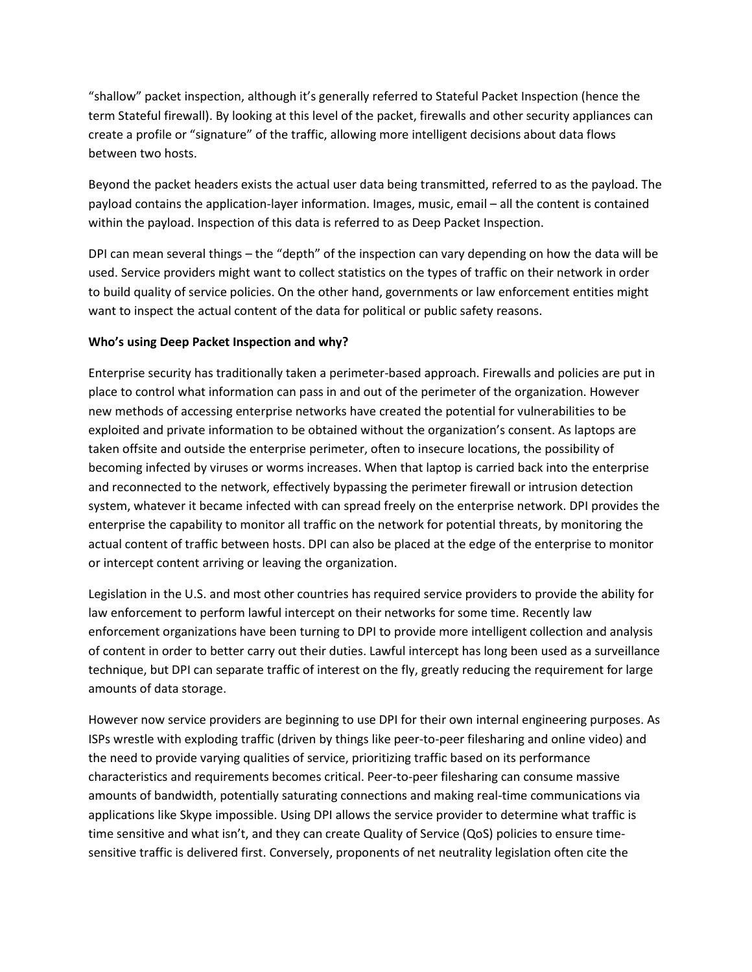"shallow" packet inspection, although it's generally referred to Stateful Packet Inspection (hence the term Stateful firewall). By looking at this level of the packet, firewalls and other security appliances can create a profile or "signature" of the traffic, allowing more intelligent decisions about data flows between two hosts.

Beyond the packet headers exists the actual user data being transmitted, referred to as the payload. The payload contains the application-layer information. Images, music, email – all the content is contained within the payload. Inspection of this data is referred to as Deep Packet Inspection.

DPI can mean several things – the "depth" of the inspection can vary depending on how the data will be used. Service providers might want to collect statistics on the types of traffic on their network in order to build quality of service policies. On the other hand, governments or law enforcement entities might want to inspect the actual content of the data for political or public safety reasons.

## **Who's using Deep Packet Inspection and why?**

Enterprise security has traditionally taken a perimeter-based approach. Firewalls and policies are put in place to control what information can pass in and out of the perimeter of the organization. However new methods of accessing enterprise networks have created the potential for vulnerabilities to be exploited and private information to be obtained without the organization's consent. As laptops are taken offsite and outside the enterprise perimeter, often to insecure locations, the possibility of becoming infected by viruses or worms increases. When that laptop is carried back into the enterprise and reconnected to the network, effectively bypassing the perimeter firewall or intrusion detection system, whatever it became infected with can spread freely on the enterprise network. DPI provides the enterprise the capability to monitor all traffic on the network for potential threats, by monitoring the actual content of traffic between hosts. DPI can also be placed at the edge of the enterprise to monitor or intercept content arriving or leaving the organization.

Legislation in the U.S. and most other countries has required service providers to provide the ability for law enforcement to perform lawful intercept on their networks for some time. Recently law enforcement organizations have been turning to DPI to provide more intelligent collection and analysis of content in order to better carry out their duties. Lawful intercept has long been used as a surveillance technique, but DPI can separate traffic of interest on the fly, greatly reducing the requirement for large amounts of data storage.

However now service providers are beginning to use DPI for their own internal engineering purposes. As ISPs wrestle with exploding traffic (driven by things like peer-to-peer filesharing and online video) and the need to provide varying qualities of service, prioritizing traffic based on its performance characteristics and requirements becomes critical. Peer-to-peer filesharing can consume massive amounts of bandwidth, potentially saturating connections and making real-time communications via applications like Skype impossible. Using DPI allows the service provider to determine what traffic is time sensitive and what isn't, and they can create Quality of Service (QoS) policies to ensure timesensitive traffic is delivered first. Conversely, proponents of net neutrality legislation often cite the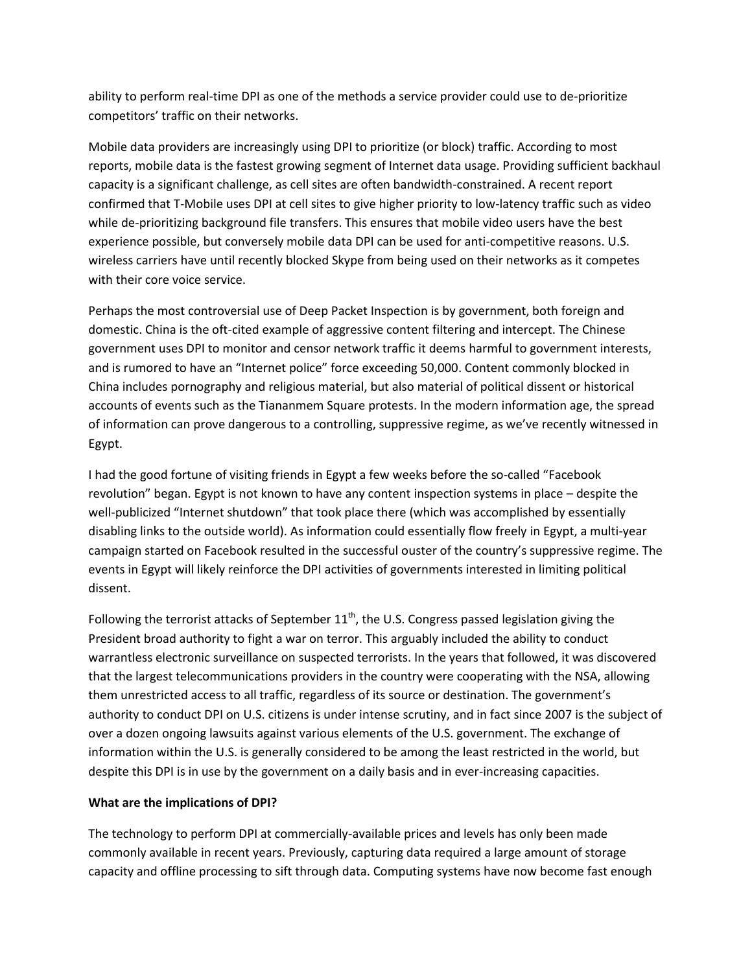ability to perform real-time DPI as one of the methods a service provider could use to de-prioritize competitors' traffic on their networks.

Mobile data providers are increasingly using DPI to prioritize (or block) traffic. According to most reports, mobile data is the fastest growing segment of Internet data usage. Providing sufficient backhaul capacity is a significant challenge, as cell sites are often bandwidth-constrained. A recent report confirmed that T-Mobile uses DPI at cell sites to give higher priority to low-latency traffic such as video while de-prioritizing background file transfers. This ensures that mobile video users have the best experience possible, but conversely mobile data DPI can be used for anti-competitive reasons. U.S. wireless carriers have until recently blocked Skype from being used on their networks as it competes with their core voice service.

Perhaps the most controversial use of Deep Packet Inspection is by government, both foreign and domestic. China is the oft-cited example of aggressive content filtering and intercept. The Chinese government uses DPI to monitor and censor network traffic it deems harmful to government interests, and is rumored to have an "Internet police" force exceeding 50,000. Content commonly blocked in China includes pornography and religious material, but also material of political dissent or historical accounts of events such as the Tiananmem Square protests. In the modern information age, the spread of information can prove dangerous to a controlling, suppressive regime, as we've recently witnessed in Egypt.

I had the good fortune of visiting friends in Egypt a few weeks before the so-called "Facebook revolution" began. Egypt is not known to have any content inspection systems in place – despite the well-publicized "Internet shutdown" that took place there (which was accomplished by essentially disabling links to the outside world). As information could essentially flow freely in Egypt, a multi-year campaign started on Facebook resulted in the successful ouster of the country's suppressive regime. The events in Egypt will likely reinforce the DPI activities of governments interested in limiting political dissent.

Following the terrorist attacks of September  $11^{th}$ , the U.S. Congress passed legislation giving the President broad authority to fight a war on terror. This arguably included the ability to conduct warrantless electronic surveillance on suspected terrorists. In the years that followed, it was discovered that the largest telecommunications providers in the country were cooperating with the NSA, allowing them unrestricted access to all traffic, regardless of its source or destination. The government's authority to conduct DPI on U.S. citizens is under intense scrutiny, and in fact since 2007 is the subject of over a dozen ongoing lawsuits against various elements of the U.S. government. The exchange of information within the U.S. is generally considered to be among the least restricted in the world, but despite this DPI is in use by the government on a daily basis and in ever-increasing capacities.

## **What are the implications of DPI?**

The technology to perform DPI at commercially-available prices and levels has only been made commonly available in recent years. Previously, capturing data required a large amount of storage capacity and offline processing to sift through data. Computing systems have now become fast enough